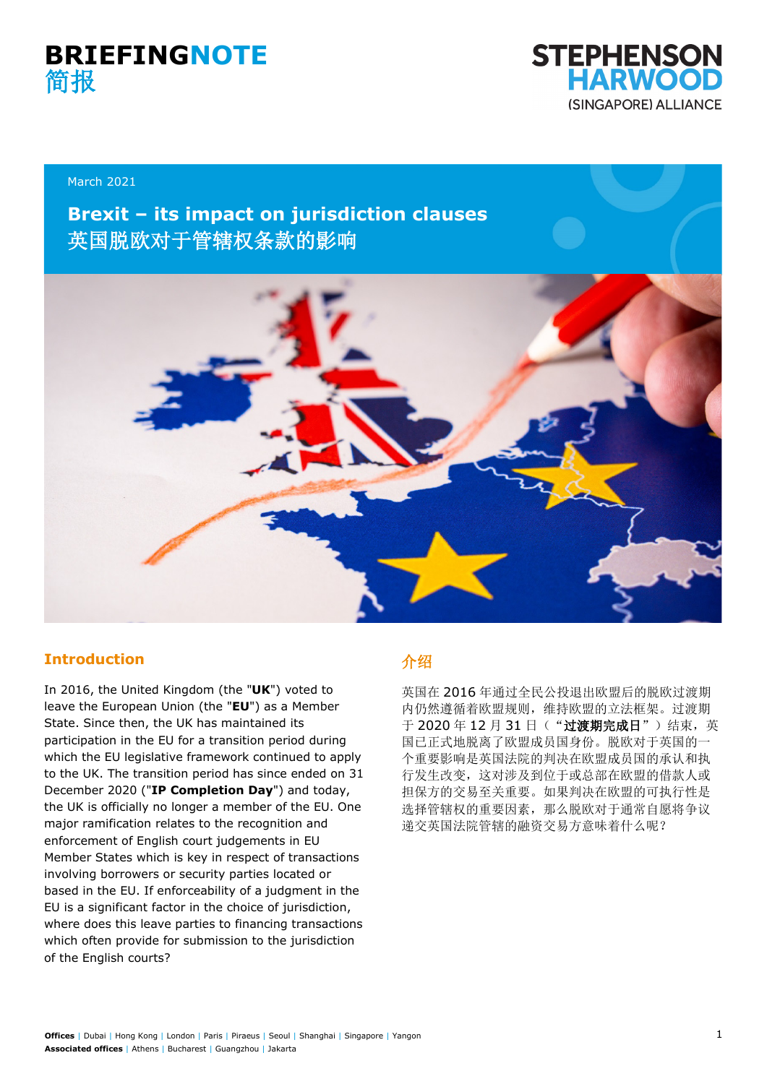



#### March 2021

## **Brexit – its impact on jurisdiction clauses** 英国脱欧对于管辖权条款的影响



#### **Introduction**

In 2016, the United Kingdom (the "**UK**") voted to leave the European Union (the "**EU**") as a Member State. Since then, the UK has maintained its participation in the EU for a transition period during which the EU legislative framework continued to apply to the UK. The transition period has since ended on 31 December 2020 ("**IP Completion Day**") and today, the UK is officially no longer a member of the EU. One major ramification relates to the recognition and enforcement of English court judgements in EU Member States which is key in respect of transactions involving borrowers or security parties located or based in the EU. If enforceability of a judgment in the EU is a significant factor in the choice of jurisdiction, where does this leave parties to financing transactions which often provide for submission to the jurisdiction of the English courts?

## 介绍

英国在 2016 年通过全民公投退出欧盟后的脱欧过渡期 内仍然遵循着欧盟规则,维持欧盟的立法框架。过渡期 于 2020年12月31日("过渡期完成日")结束,英 国已正式地脱离了欧盟成员国身份。脱欧对于英国的一 个重要影响是英国法院的判决在欧盟成员国的承认和执 行发生改变,这对涉及到位于或总部在欧盟的借款人或 担保方的交易至关重要。如果判决在欧盟的可执行性是 选择管辖权的重要因素,那么脱欧对于通常自愿将争议 递交英国法院管辖的融资交易方意味着什么呢?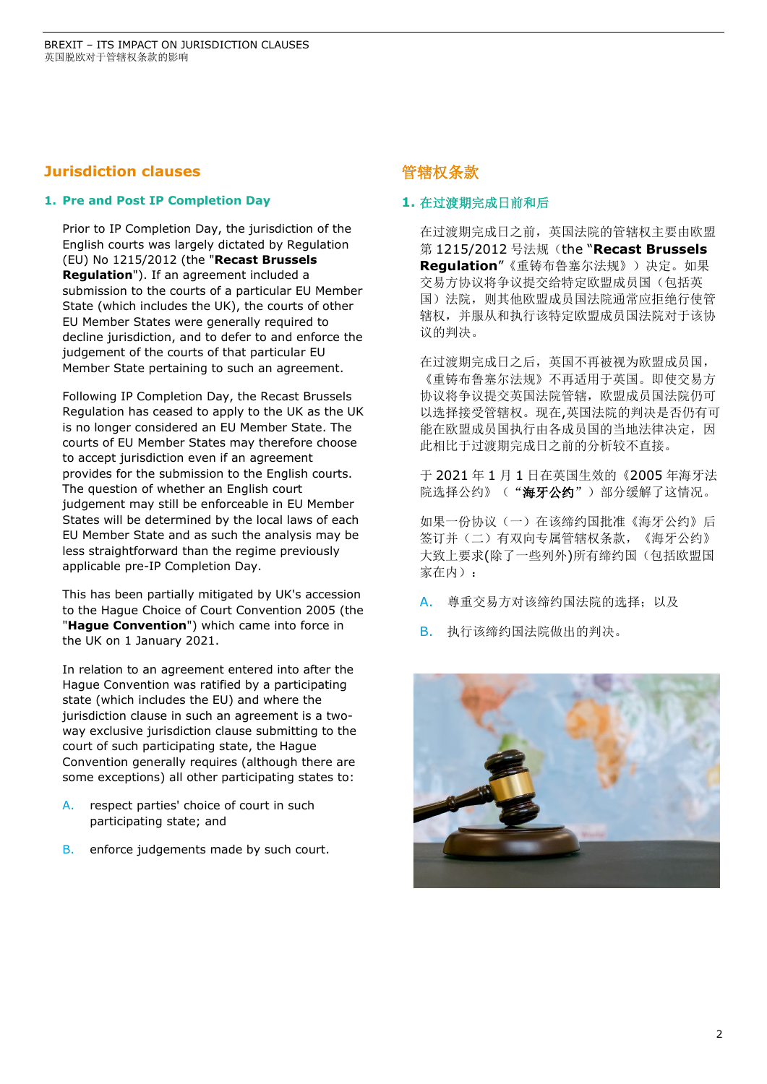### **Jurisdiction clauses**

#### **1. Pre and Post IP Completion Day**

Prior to IP Completion Day, the jurisdiction of the English courts was largely dictated by Regulation (EU) No 1215/2012 (the "**Recast Brussels Regulation**"). If an agreement included a submission to the courts of a particular EU Member State (which includes the UK), the courts of other EU Member States were generally required to decline jurisdiction, and to defer to and enforce the judgement of the courts of that particular EU Member State pertaining to such an agreement.

Following IP Completion Day, the Recast Brussels Regulation has ceased to apply to the UK as the UK is no longer considered an EU Member State. The courts of EU Member States may therefore choose to accept jurisdiction even if an agreement provides for the submission to the English courts. The question of whether an English court judgement may still be enforceable in EU Member States will be determined by the local laws of each EU Member State and as such the analysis may be less straightforward than the regime previously applicable pre-IP Completion Day.

This has been partially mitigated by UK's accession to the Hague Choice of Court Convention 2005 (the "**Hague Convention**") which came into force in the UK on 1 January 2021.

In relation to an agreement entered into after the Hague Convention was ratified by a participating state (which includes the EU) and where the jurisdiction clause in such an agreement is a twoway exclusive jurisdiction clause submitting to the court of such participating state, the Hague Convention generally requires (although there are some exceptions) all other participating states to:

- A. respect parties' choice of court in such participating state; and
- B. enforce judgements made by such court.

## 管辖权条款

#### **1.** 在过渡期完成日前和后

在过渡期完成日之前,英国法院的管辖权主要由欧盟 第 1215/2012 号法规(the "**Recast Brussels Regulation**"《重铸布鲁塞尔法规》)决定。如果 交易方协议将争议提交给特定欧盟成员国(包括英 国)法院,则其他欧盟成员国法院通常应拒绝行使管 辖权,并服从和执行该特定欧盟成员国法院对于该协 议的判决。

在过渡期完成日之后,英国不再被视为欧盟成员国, 《重铸布鲁塞尔法规》不再适用于英国。即使交易方 协议将争议提交英国法院管辖,欧盟成员国法院仍可 以选择接受管辖权。现在,英国法院的判决是否仍有可 能在欧盟成员国执行由各成员国的当地法律决定,因 此相比于过渡期完成日之前的分析较不直接。

于 2021 年 1 月 1 日在英国生效的《2005 年海牙法 院选择公约》("海牙公约")部分缓解了这情况。

如果一份协议(一)在该缔约国批准《海牙公约》后 签订并(二)有双向专属管辖权条款,《海牙公约》 大致上要求(除了一些列外)所有缔约国(包括欧盟国 家在内):

A. 尊重交易方对该缔约国法院的选择;以及

B. 执行该缔约国法院做出的判决。

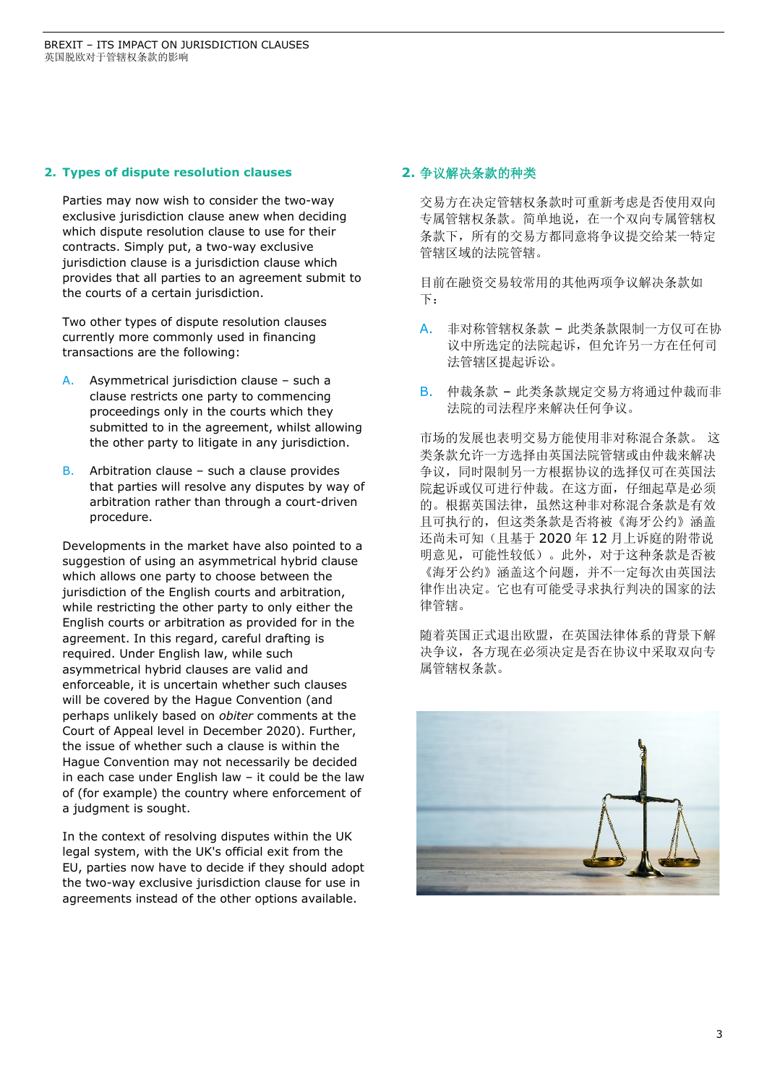#### **2. Types of dispute resolution clauses**

Parties may now wish to consider the two-way exclusive jurisdiction clause anew when deciding which dispute resolution clause to use for their contracts. Simply put, a two-way exclusive jurisdiction clause is a jurisdiction clause which provides that all parties to an agreement submit to the courts of a certain jurisdiction.

Two other types of dispute resolution clauses currently more commonly used in financing transactions are the following:

- A. Asymmetrical jurisdiction clause such a clause restricts one party to commencing proceedings only in the courts which they submitted to in the agreement, whilst allowing the other party to litigate in any jurisdiction.
- B. Arbitration clause such a clause provides that parties will resolve any disputes by way of arbitration rather than through a court-driven procedure.

Developments in the market have also pointed to a suggestion of using an asymmetrical hybrid clause which allows one party to choose between the jurisdiction of the English courts and arbitration, while restricting the other party to only either the English courts or arbitration as provided for in the agreement. In this regard, careful drafting is required. Under English law, while such asymmetrical hybrid clauses are valid and enforceable, it is uncertain whether such clauses will be covered by the Hague Convention (and perhaps unlikely based on *obiter* comments at the Court of Appeal level in December 2020). Further, the issue of whether such a clause is within the Hague Convention may not necessarily be decided in each case under English law – it could be the law of (for example) the country where enforcement of a judgment is sought.

In the context of resolving disputes within the UK legal system, with the UK's official exit from the EU, parties now have to decide if they should adopt the two-way exclusive jurisdiction clause for use in agreements instead of the other options available.

#### **2.** 争议解决条款的种类

交易方在决定管辖权条款时可重新考虑是否使用双向 专属管辖权条款。简单地说,在一个双向专属管辖权 条款下,所有的交易方都同意将争议提交给某一特定 管辖区域的法院管辖。

目前在融资交易较常用的其他两项争议解决条款如 下:

- A. 非对称管辖权条款 此类条款限制一方仅可在协 议中所选定的法院起诉,但允许另一方在任何司 法管辖区提起诉讼。
- B. 仲裁条款 此类条款规定交易方将通过仲裁而非 法院的司法程序来解决任何争议。

市场的发展也表明交易方能使用非对称混合条款。 这 类条款允许一方选择由英国法院管辖或由仲裁来解决 争议,同时限制另一方根据协议的选择仅可在英国法 院起诉或仅可进行仲裁。在这方面,仔细起草是必须 的。根据英国法律,虽然这种非对称混合条款是有效 且可执行的,但这类条款是否将被《海牙公约》涵盖 还尚未可知(且基于 2020 年 12 月上诉庭的附带说 明意见,可能性较低)。此外,对于这种条款是否被 《海牙公约》涵盖这个问题,并不一定每次由英国法 律作出决定。它也有可能受寻求执行判决的国家的法 律管辖。

随着英国正式退出欧盟,在英国法律体系的背景下解 决争议,各方现在必须决定是否在协议中采取双向专 属管辖权条款。

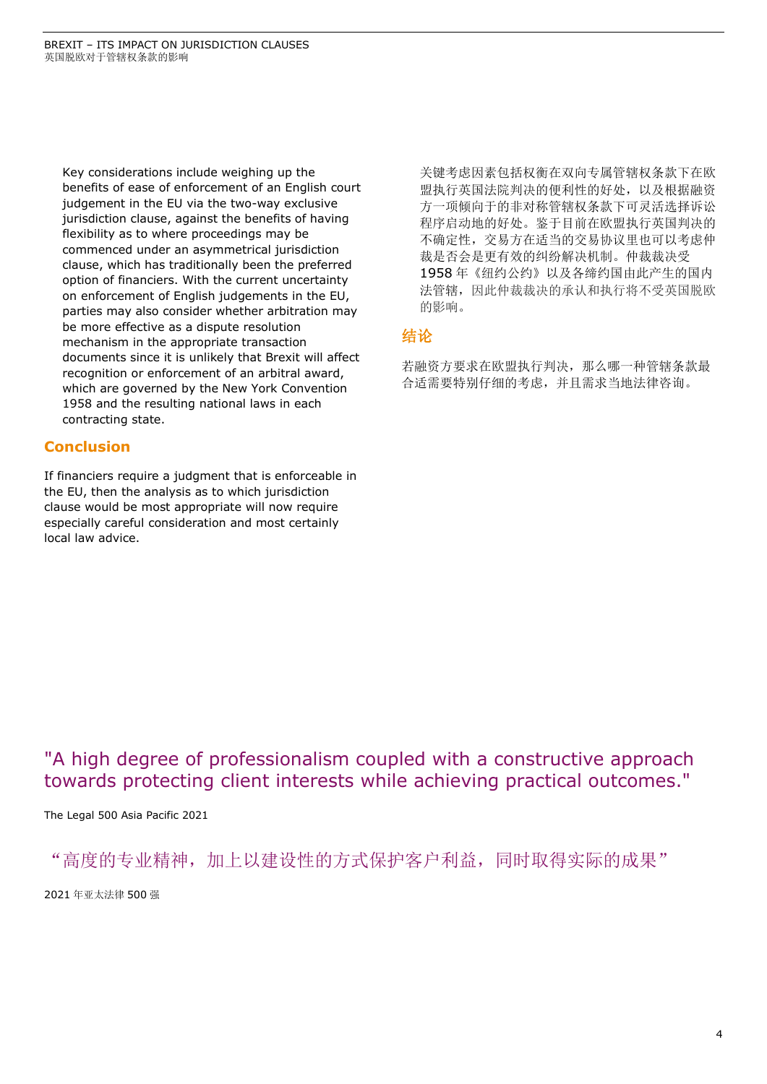Key considerations include weighing up the benefits of ease of enforcement of an English court judgement in the EU via the two-way exclusive jurisdiction clause, against the benefits of having flexibility as to where proceedings may be commenced under an asymmetrical jurisdiction clause, which has traditionally been the preferred option of financiers. With the current uncertainty on enforcement of English judgements in the EU, parties may also consider whether arbitration may be more effective as a dispute resolution mechanism in the appropriate transaction documents since it is unlikely that Brexit will affect recognition or enforcement of an arbitral award, which are governed by the New York Convention 1958 and the resulting national laws in each contracting state.

### **Conclusion**

If financiers require a judgment that is enforceable in the EU, then the analysis as to which jurisdiction clause would be most appropriate will now require especially careful consideration and most certainly local law advice.

关键考虑因素包括权衡在双向专属管辖权条款下在欧 盟执行英国法院判决的便利性的好处,以及根据融资 方一项倾向于的非对称管辖权条款下可灵活选择诉讼 程序启动地的好处。鉴于目前在欧盟执行英国判决的 不确定性,交易方在适当的交易协议里也可以考虑仲 裁是否会是更有效的纠纷解决机制。仲裁裁决受 1958 年《纽约公约》以及各缔约国由此产生的国内 法管辖,因此仲裁裁决的承认和执行将不受英国脱欧 的影响。

## 结论

若融资方要求在欧盟执行判决,那么哪一种管辖条款最 合适需要特别仔细的考虑,并且需求当地法律咨询。

## "A high degree of professionalism coupled with a constructive approach towards protecting client interests while achieving practical outcomes."

The Legal 500 Asia Pacific 2021

"高度的专业精神,加上以建设性的方式保护客户利益,同时取得实际的成果"

2021 年亚太法律 500 强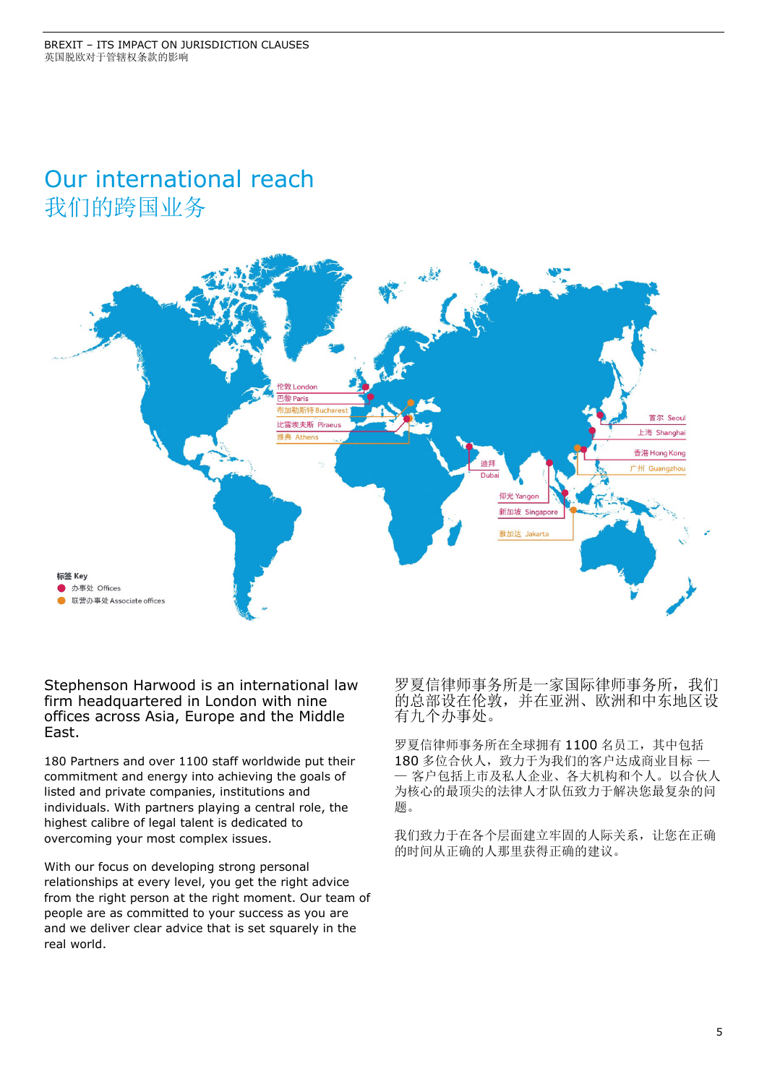# Our international reach 我们的跨国业务



Stephenson Harwood is an international law firm headquartered in London with nine offices across Asia, Europe and the Middle East.

180 Partners and over 1100 staff worldwide put their commitment and energy into achieving the goals of listed and private companies, institutions and individuals. With partners playing a central role, the highest calibre of legal talent is dedicated to overcoming your most complex issues.

With our focus on developing strong personal relationships at every level, you get the right advice from the right person at the right moment. Our team of people are as committed to your success as you are and we deliver clear advice that is set squarely in the real world.

罗夏信律师事务所是一家国际律师事务所,我们 的总部设在伦敦,并在亚洲、欧洲和中东地区设 有九个办事处。

罗夏信律师事务所在全球拥有 1100 名员工,其中包括 180 多位合伙人,致力于为我们的客户达成商业目标 一 — 客户包括上市及私人企业、各大机构和个人。以合伙人 为核心的最顶尖的法律人才队伍致力于解决您最复杂的问 题。

我们致力于在各个层面建立牢固的人际关系,让您在正确 的时间从正确的人那里获得正确的建议。